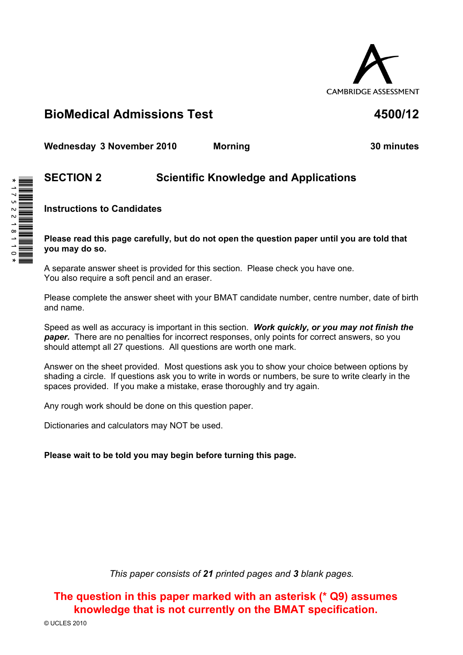

# **BioMedical Admissions Test 4500/12**

**Wednesday 3 November 2010 Morning 30 minutes**

# **SECTION 2 Scientific Knowledge and Applications**

**Instructions to Candidates** 

**Please read this page carefully, but do not open the question paper until you are told that you may do so.** 

A separate answer sheet is provided for this section. Please check you have one. You also require a soft pencil and an eraser.

Please complete the answer sheet with your BMAT candidate number, centre number, date of birth and name.

Speed as well as accuracy is important in this section. *Work quickly, or you may not finish the paper.* There are no penalties for incorrect responses, only points for correct answers, so you should attempt all 27 questions. All questions are worth one mark.

Answer on the sheet provided. Most questions ask you to show your choice between options by shading a circle. If questions ask you to write in words or numbers, be sure to write clearly in the spaces provided. If you make a mistake, erase thoroughly and try again.

Any rough work should be done on this question paper.

Dictionaries and calculators may NOT be used.

## **Please wait to be told you may begin before turning this page.**

*This paper consists of 21 printed pages and 3 blank pages.*

**The question in this paper marked with an asterisk (\* Q9) assumes knowledge that is not currently on the BMAT specification.**

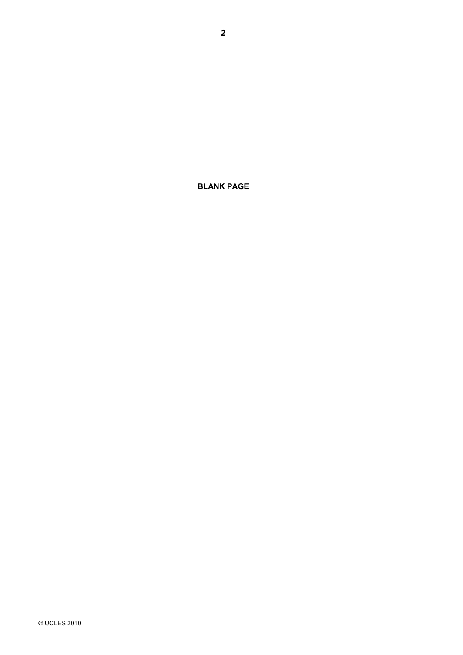**BLANK PAGE**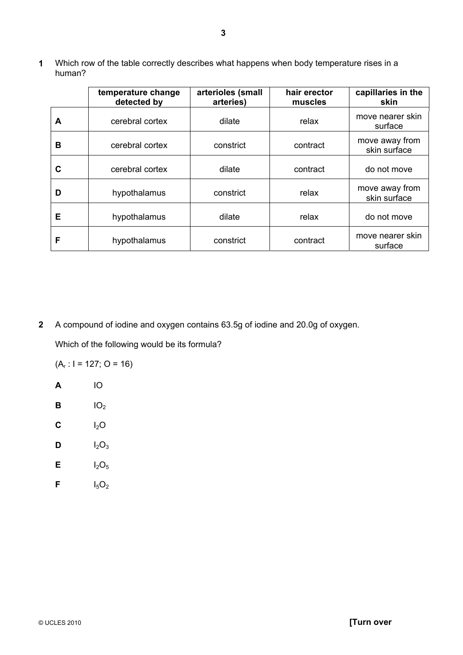**1** Which row of the table correctly describes what happens when body temperature rises in a human?

|   | temperature change<br>detected by | arterioles (small<br>arteries) | hair erector<br>muscles | capillaries in the<br>skin     |
|---|-----------------------------------|--------------------------------|-------------------------|--------------------------------|
| A | cerebral cortex                   | dilate                         | relax                   | move nearer skin<br>surface    |
| в | cerebral cortex                   | constrict                      | contract                | move away from<br>skin surface |
| С | cerebral cortex                   | dilate                         | contract                | do not move                    |
| D | hypothalamus                      | constrict                      | relax                   | move away from<br>skin surface |
| Е | hypothalamus                      | dilate                         | relax                   | do not move                    |
| F | hypothalamus                      | constrict                      | contract                | move nearer skin<br>surface    |

**2** A compound of iodine and oxygen contains 63.5g of iodine and 20.0g of oxygen.

Which of the following would be its formula?

 $(A_r : I = 127; O = 16)$ 

**A** IO

**B**  $10<sub>2</sub>$ 

 $C$   $I_2O$ 

- $D$   $I_2O_3$
- **E**  $I_2O_5$
- $\mathsf{F}$   $\mathsf{I}_5\mathsf{O}_2$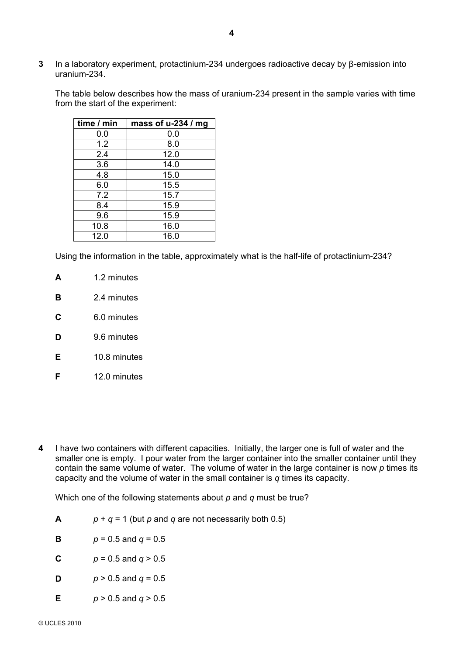**3** In a laboratory experiment, protactinium-234 undergoes radioactive decay by β-emission into uranium-234.

The table below describes how the mass of uranium-234 present in the sample varies with time from the start of the experiment:

| time / min | mass of u-234 / mg |
|------------|--------------------|
| 0.0        | 0.0                |
| 1.2        | 8.0                |
| 2.4        | 12.0               |
| 3.6        | 14.0               |
| 4.8        | 15.0               |
| 6.0        | 15.5               |
| 7.2        | 15.7               |
| 8.4        | 15.9               |
| 9.6        | 15.9               |
| 10.8       | 16.0               |
| 12.0       | 16.0               |

Using the information in the table, approximately what is the half-life of protactinium-234?

- **A** 1.2 minutes
- **B** 2.4 minutes
- **C** 6.0 minutes
- **D** 9.6 minutes
- **E** 10.8 minutes
- **F** 12.0 minutes
- **4** I have two containers with different capacities. Initially, the larger one is full of water and the smaller one is empty. I pour water from the larger container into the smaller container until they contain the same volume of water. The volume of water in the large container is now *p* times its capacity and the volume of water in the small container is *q* times its capacity.

Which one of the following statements about *p* and *q* must be true?

- **A**  $p + q = 1$  (but *p* and *q* are not necessarily both 0.5)
- **B**  $p = 0.5$  and  $q = 0.5$
- **C**  $p = 0.5$  and  $q > 0.5$
- **D**  $p > 0.5$  and  $q = 0.5$
- **E**  $p > 0.5$  and  $q > 0.5$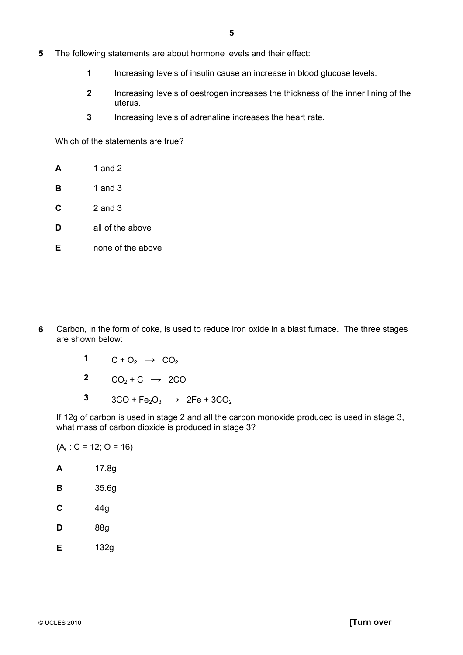- **5** The following statements are about hormone levels and their effect:
	- **1** Increasing levels of insulin cause an increase in blood glucose levels.
	- **2** Increasing levels of oestrogen increases the thickness of the inner lining of the uterus.
	- **3** Increasing levels of adrenaline increases the heart rate.

Which of the statements are true?

- **A** 1 and 2
- **B** 1 and 3
- **C** 2 and 3
- **D** all of the above
- **E** none of the above

- **6** Carbon, in the form of coke, is used to reduce iron oxide in a blast furnace. The three stages are shown below:
	- 1  $C + O_2 \rightarrow CO_2$
	- **2**  $CO_2 + C \rightarrow 2CO$
	- 3  $3CO + Fe<sub>2</sub>O<sub>3</sub> \rightarrow 2Fe + 3CO<sub>2</sub>$

If 12g of carbon is used in stage 2 and all the carbon monoxide produced is used in stage 3, what mass of carbon dioxide is produced in stage 3?

- $(A_r : C = 12; O = 16)$
- **A** 17.8g **B** 35.6g
- 
- **C** 44g
- **D** 88g
- **E** 132g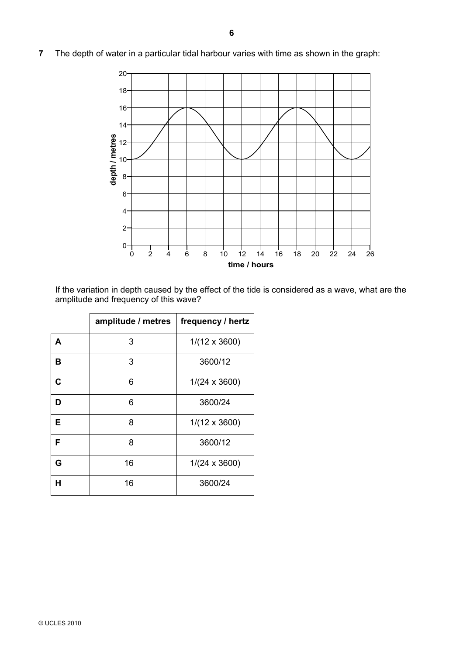

**7** The depth of water in a particular tidal harbour varies with time as shown in the graph:

If the variation in depth caused by the effect of the tide is considered as a wave, what are the amplitude and frequency of this wave?

|   | amplitude / metres | frequency / hertz    |
|---|--------------------|----------------------|
| A | 3                  | $1/(12 \times 3600)$ |
| в | 3                  | 3600/12              |
| C | 6                  | $1/(24 \times 3600)$ |
| D | 6                  | 3600/24              |
| Е | 8                  | $1/(12 \times 3600)$ |
| F | 8                  | 3600/12              |
| G | 16                 | $1/(24 \times 3600)$ |
| н | 16                 | 3600/24              |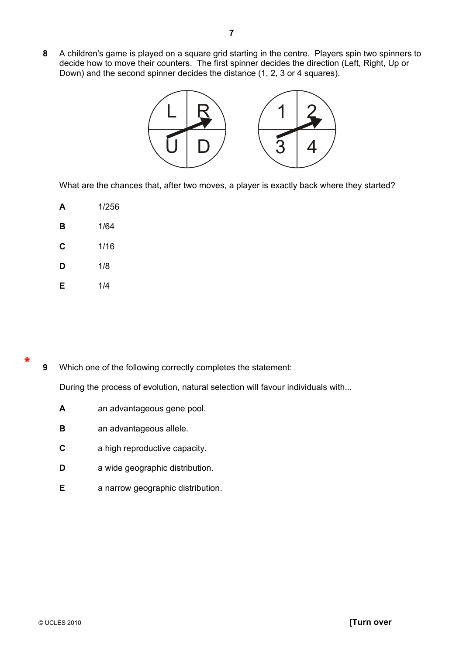**8** A children's game is played on a square grid starting in the centre. Players spin two spinners to decide how to move their counters. The first spinner decides the direction (Left, Right, Up or Down) and the second spinner decides the distance (1, 2, 3 or 4 squares).



What are the chances that, after two moves, a player is exactly back where they started?

- **A** 1/256
- **B** 1/64
- **C** 1/16
- **D** 1/8
- **E** 1/4

\*

**9** Which one of the following correctly completes the statement:

During the process of evolution, natural selection will favour individuals with...

- A an advantageous gene pool.
- **B** an advantageous allele.
- **C** a high reproductive capacity.
- **D a** wide geographic distribution.
- **E** a narrow geographic distribution.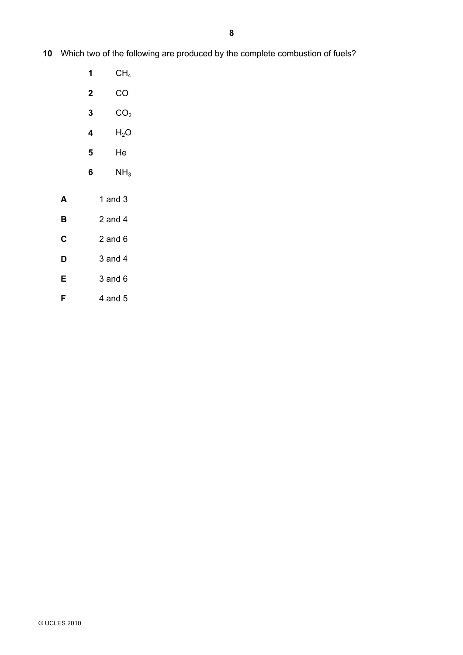- **10** Which two of the following are produced by the complete combustion of fuels?
	- **1**  $CH_4$
	- **2** CO
	- **3** CO2
	- **4** H2O
	- **5** He
	- **6** NH3
	- **A** 1 and 3
	- **B** 2 and 4
	- **C** 2 and 6
	- **D** 3 and 4
	- **E** 3 and 6
	- **F** 4 and 5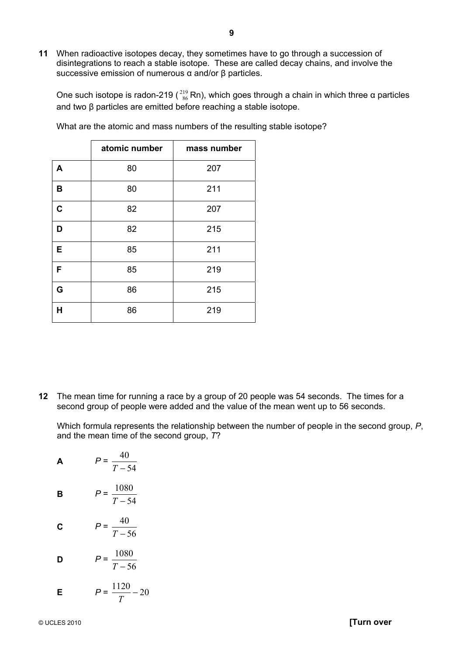**11** When radioactive isotopes decay, they sometimes have to go through a succession of disintegrations to reach a stable isotope. These are called decay chains, and involve the successive emission of numerous α and/or β particles.

One such isotope is radon-219 ( $^{219}_{86}$  Rn), which goes through a chain in which three α particles and two β particles are emitted before reaching a stable isotope.

|   | atomic number | mass number |
|---|---------------|-------------|
| A | 80            | 207         |
| B | 80            | 211         |
| C | 82            | 207         |
| D | 82            | 215         |
| Е | 85            | 211         |
| F | 85            | 219         |
| G | 86            | 215         |
| Н | 86            | 219         |

What are the atomic and mass numbers of the resulting stable isotope?

**12** The mean time for running a race by a group of 20 people was 54 seconds. The times for a second group of people were added and the value of the mean went up to 56 seconds.

Which formula represents the relationship between the number of people in the second group, *P*, and the mean time of the second group, *T*?

**A** 
$$
P = \frac{40}{T - 54}
$$
  
\n**B**  $P = \frac{1080}{T - 54}$   
\n**C**  $P = \frac{40}{T - 56}$   
\n**D**  $P = \frac{1080}{T - 56}$   
\n**E**  $P = \frac{1120}{T} - 20$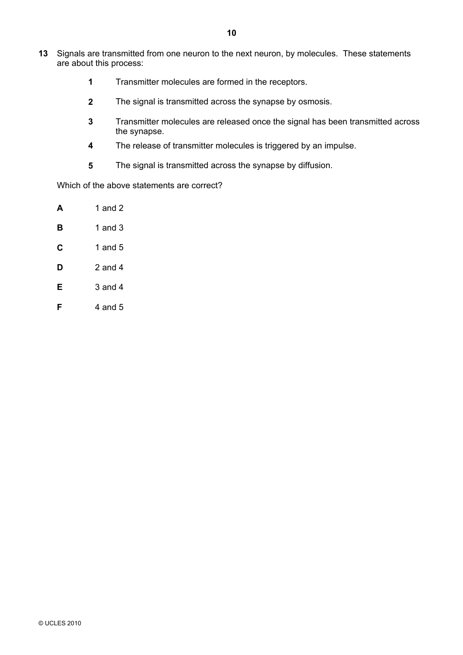- **13** Signals are transmitted from one neuron to the next neuron, by molecules. These statements are about this process:
	- **1** Transmitter molecules are formed in the receptors.
	- **2** The signal is transmitted across the synapse by osmosis.
	- **3** Transmitter molecules are released once the signal has been transmitted across the synapse.
	- **4** The release of transmitter molecules is triggered by an impulse.
	- **5** The signal is transmitted across the synapse by diffusion.

Which of the above statements are correct?

**A** 1 and 2 **B** 1 and 3 **C** 1 and 5 **D** 2 and 4 **E** 3 and 4 **F** 4 and 5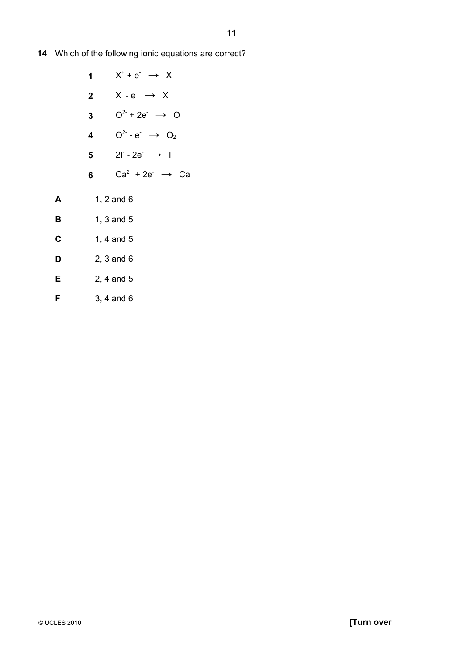|   | $X^+ + e^- \rightarrow X$<br>1                            |                                 |
|---|-----------------------------------------------------------|---------------------------------|
|   | $X - e^- \rightarrow X$<br>2 <sup>1</sup>                 |                                 |
|   | $Q^2$ + 2e <sup>-</sup> $\rightarrow$ 0<br>$3\phantom{a}$ |                                 |
|   | $Q^2 - e^- \rightarrow Q_2$<br>$\overline{\mathbf{4}}$    |                                 |
|   | $2\mathsf{l}$ - 2e $\rightarrow$ 1<br>5                   |                                 |
|   | 6                                                         | $Ca^{2+} + 2e^- \rightarrow Ca$ |
| A | 1, $2$ and $6$                                            |                                 |
| B | 1, 3 and 5                                                |                                 |
| C | 1, 4 and $5$                                              |                                 |
| D | $2, 3$ and $6$                                            |                                 |
| E | 2, 4 and 5                                                |                                 |
| F | $3, 4$ and $6$                                            |                                 |

**14** Which of the following ionic equations are correct?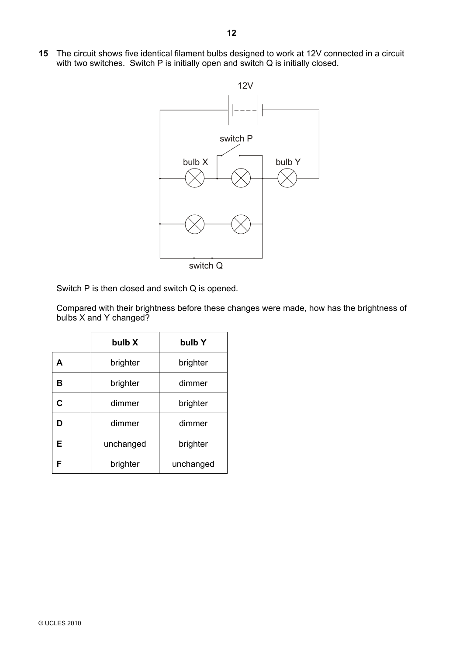**15** The circuit shows five identical filament bulbs designed to work at 12V connected in a circuit with two switches. Switch P is initially open and switch Q is initially closed.



Switch P is then closed and switch Q is opened.

Compared with their brightness before these changes were made, how has the brightness of bulbs X and Y changed?

|   | bulb X    | bulb Y    |
|---|-----------|-----------|
| A | brighter  | brighter  |
| в | brighter  | dimmer    |
| C | dimmer    | brighter  |
| D | dimmer    | dimmer    |
| Е | unchanged | brighter  |
| F | brighter  | unchanged |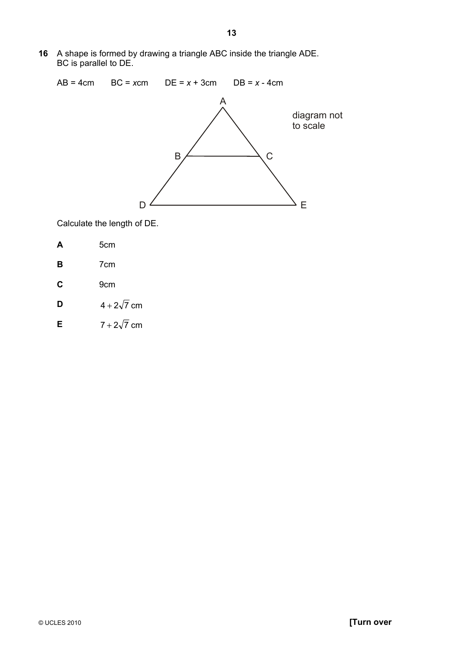**16** A shape is formed by drawing a triangle ABC inside the triangle ADE. BC is parallel to DE.



Calculate the length of DE.

| A | 5cm |
|---|-----|
| в | 7cm |
|   |     |

- **C** 9cm
- **D**  $4 + 2\sqrt{7}$  cm
- **E**  $7 + 2\sqrt{7}$  cm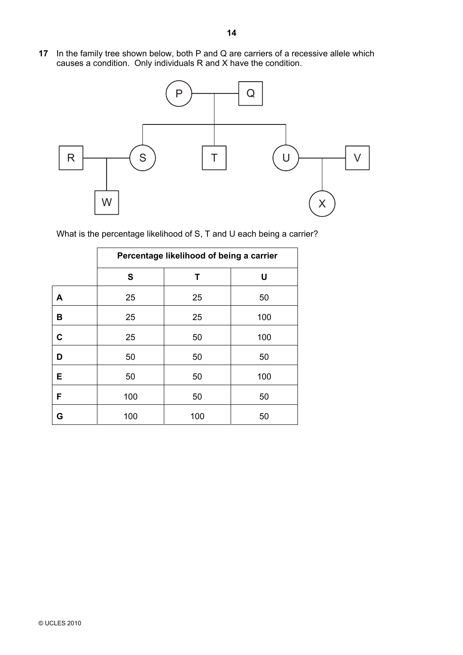**17** In the family tree shown below, both P and Q are carriers of a recessive allele which causes a condition. Only individuals R and X have the condition.



What is the percentage likelihood of S, T and U each being a carrier?

|   | Percentage likelihood of being a carrier |     |     |
|---|------------------------------------------|-----|-----|
|   | S                                        | T   | U   |
| A | 25                                       | 25  | 50  |
| В | 25                                       | 25  | 100 |
| C | 25                                       | 50  | 100 |
| D | 50                                       | 50  | 50  |
| Е | 50                                       | 50  | 100 |
| F | 100                                      | 50  | 50  |
| G | 100                                      | 100 | 50  |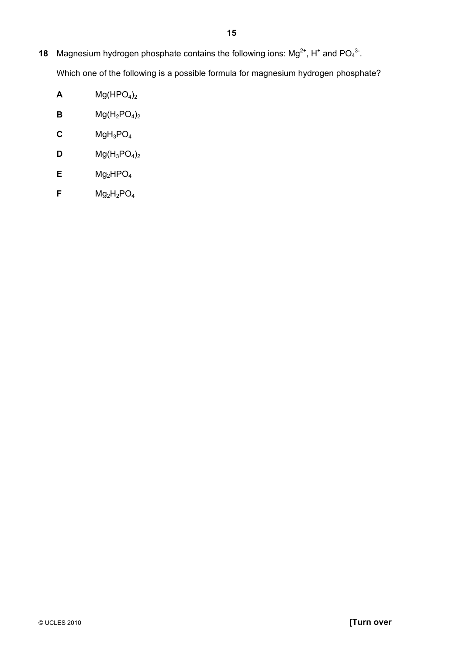- **18** Magnesium hydrogen phosphate contains the following ions:  $Mg^{2+}$ , H<sup>+</sup> and PO<sub>4</sub><sup>3-</sup>. Which one of the following is a possible formula for magnesium hydrogen phosphate?
	- $\mathsf{A}$   $\qquad \qquad \mathsf{Mg}(\mathsf{HPO}_4)_2$
	- **B**  $Mg(H_2PO_4)_2$
	- $C$   $MgH_3PO_4$
	- **D**  $Mg(H_3PO_4)_2$
	- $\mathsf{E}$   $\mathsf{Mg}_2\mathsf{HPO}_4$
	- $F$   $Mg_2H_2PO_4$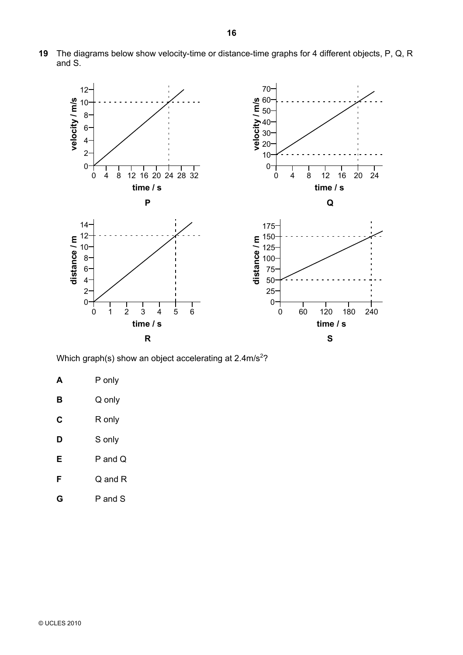

The diagrams below show velocity-time or distance-time graphs for 4 different objects, P, Q, R and S.

Which graph(s) show an object accelerating at 2.4m/s<sup>2</sup>?

- **A** P only **B** Q only **C** R only **D** S only **E** P and Q **F** Q and R
- **G** P and S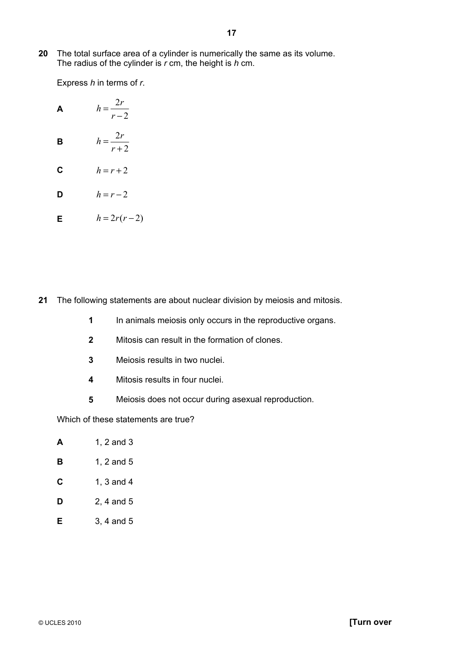**20** The total surface area of a cylinder is numerically the same as its volume. The radius of the cylinder is *r* cm, the height is *h* cm.

Express *h* in terms of *r*.

| A | $h = \frac{2r}{r-2}$ |
|---|----------------------|
| в | $h = \frac{2r}{r+2}$ |
| C | $h=r+2$              |
| D | $h=r-2$              |
| E | $h = 2r(r-2)$        |

**21** The following statements are about nuclear division by meiosis and mitosis.

- **1** In animals meiosis only occurs in the reproductive organs.
- **2** Mitosis can result in the formation of clones.
- **3** Meiosis results in two nuclei.
- **4** Mitosis results in four nuclei.
- **5** Meiosis does not occur during asexual reproduction.

Which of these statements are true?

- **A** 1, 2 and 3
- **B** 1, 2 and 5
- **C** 1, 3 and 4
- **D** 2, 4 and 5
- **E** 3, 4 and 5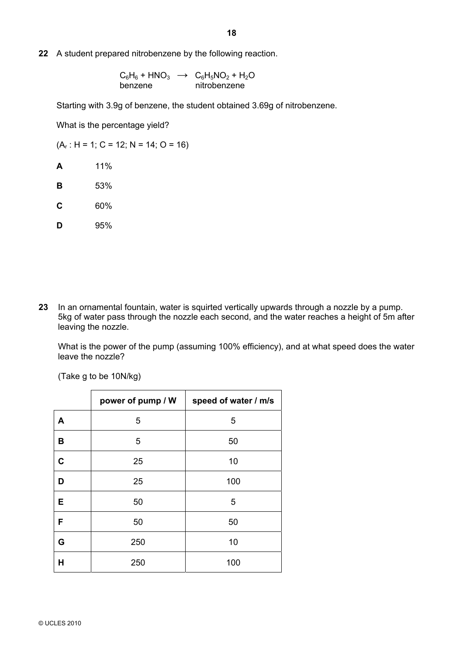**22** A student prepared nitrobenzene by the following reaction.

$$
C_6H_6 + HNO_3 \rightarrow C_6H_5NO_2 + H_2O
$$
  
benzene nitrobenzene

Starting with 3.9g of benzene, the student obtained 3.69g of nitrobenzene.

What is the percentage yield?

 $(A_r : H = 1; C = 12; N = 14; O = 16)$ 

| А | 11% |
|---|-----|
|   |     |

**B** 53%

**C** 60%

**D** 95%

**23** In an ornamental fountain, water is squirted vertically upwards through a nozzle by a pump. 5kg of water pass through the nozzle each second, and the water reaches a height of 5m after leaving the nozzle.

What is the power of the pump (assuming 100% efficiency), and at what speed does the water leave the nozzle?

|   | power of pump / W | speed of water / m/s |
|---|-------------------|----------------------|
| A | 5                 | 5                    |
| B | 5                 | 50                   |
| C | 25                | 10                   |
| D | 25                | 100                  |
| Е | 50                | 5                    |
| F | 50                | 50                   |
| G | 250               | 10                   |
| Η | 250               | 100                  |

(Take g to be 10N/kg)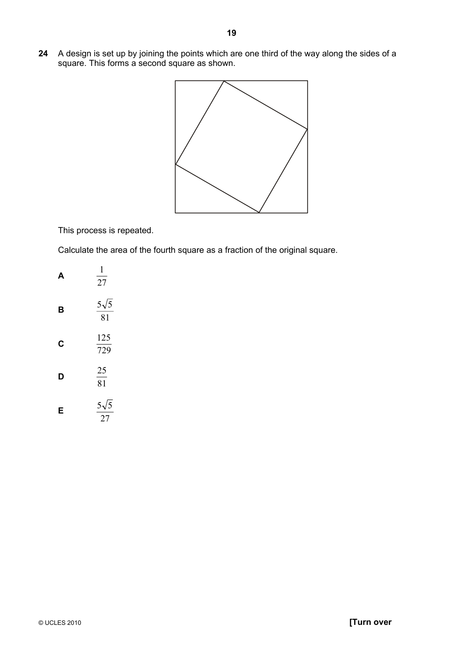**24** A design is set up by joining the points which are one third of the way along the sides of a square. This forms a second square as shown.



This process is repeated.

Calculate the area of the fourth square as a fraction of the original square.

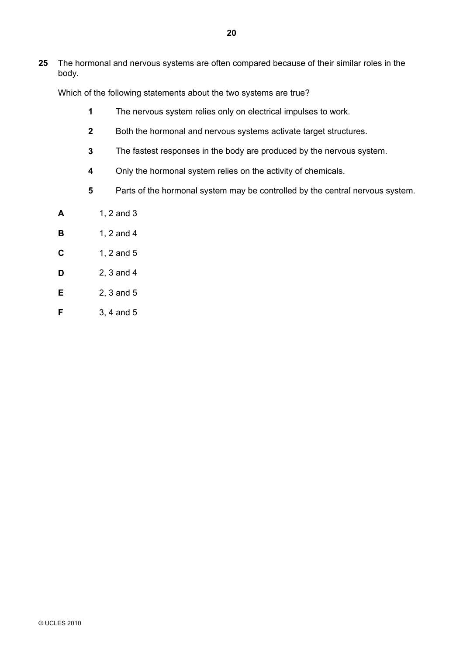**25** The hormonal and nervous systems are often compared because of their similar roles in the body.

Which of the following statements about the two systems are true?

- **1** The nervous system relies only on electrical impulses to work.
- **2** Both the hormonal and nervous systems activate target structures.
- **3** The fastest responses in the body are produced by the nervous system.
- **4** Only the hormonal system relies on the activity of chemicals.
- **5** Parts of the hormonal system may be controlled by the central nervous system.
- **A** 1, 2 and 3
- **B** 1, 2 and 4
- **C** 1, 2 and 5
- **D** 2, 3 and 4
- **E** 2, 3 and 5
- **F** 3, 4 and 5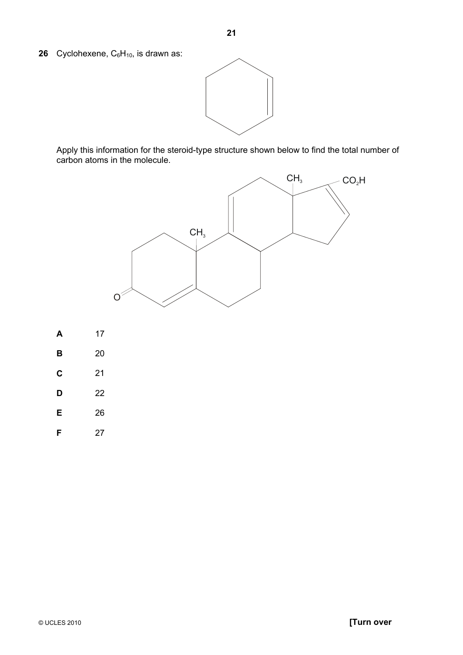**26** Cyclohexene,  $C_6H_{10}$ , is drawn as:



Apply this information for the steroid-type structure shown below to find the total number of carbon atoms in the molecule.



- **A** 17 **B** 20 **C** 21 **D** 22
- **E** 26
- **F** 27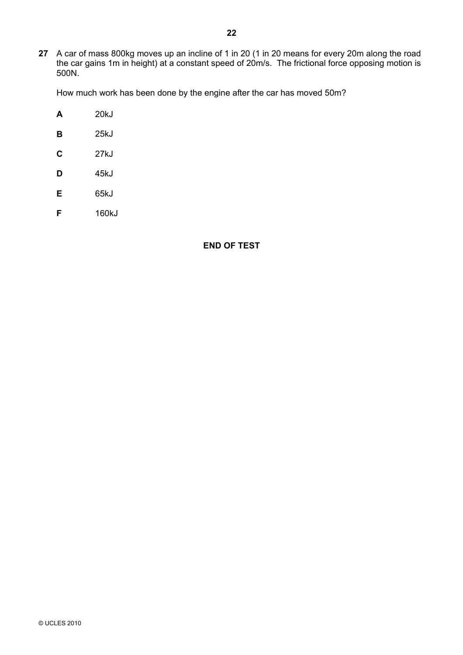**27** A car of mass 800kg moves up an incline of 1 in 20 (1 in 20 means for every 20m along the road the car gains 1m in height) at a constant speed of 20m/s. The frictional force opposing motion is 500N.

How much work has been done by the engine after the car has moved 50m?

- **A** 20kJ
- **B** 25kJ
- **C** 27kJ
- **D** 45kJ
- **E** 65kJ
- **F** 160kJ

## **END OF TEST**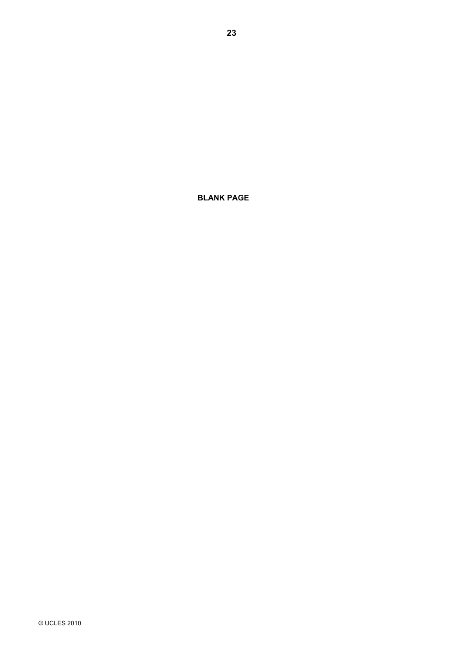**BLANK PAGE**